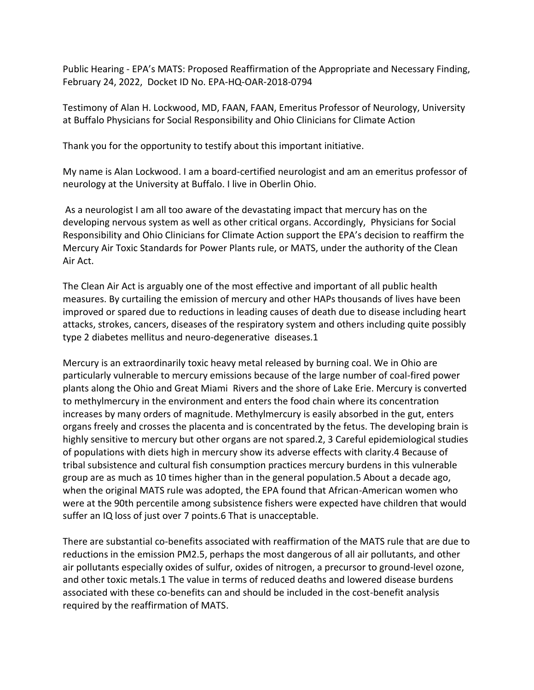Public Hearing - EPA's MATS: Proposed Reaffirmation of the Appropriate and Necessary Finding, February 24, 2022, Docket ID No. EPA-HQ-OAR-2018-0794

Testimony of Alan H. Lockwood, MD, FAAN, FAAN, Emeritus Professor of Neurology, University at Buffalo Physicians for Social Responsibility and Ohio Clinicians for Climate Action

Thank you for the opportunity to testify about this important initiative.

My name is Alan Lockwood. I am a board-certified neurologist and am an emeritus professor of neurology at the University at Buffalo. I live in Oberlin Ohio.

As a neurologist I am all too aware of the devastating impact that mercury has on the developing nervous system as well as other critical organs. Accordingly, Physicians for Social Responsibility and Ohio Clinicians for Climate Action support the EPA's decision to reaffirm the Mercury Air Toxic Standards for Power Plants rule, or MATS, under the authority of the Clean Air Act.

The Clean Air Act is arguably one of the most effective and important of all public health measures. By curtailing the emission of mercury and other HAPs thousands of lives have been improved or spared due to reductions in leading causes of death due to disease including heart attacks, strokes, cancers, diseases of the respiratory system and others including quite possibly type 2 diabetes mellitus and neuro-degenerative diseases.1

Mercury is an extraordinarily toxic heavy metal released by burning coal. We in Ohio are particularly vulnerable to mercury emissions because of the large number of coal-fired power plants along the Ohio and Great Miami Rivers and the shore of Lake Erie. Mercury is converted to methylmercury in the environment and enters the food chain where its concentration increases by many orders of magnitude. Methylmercury is easily absorbed in the gut, enters organs freely and crosses the placenta and is concentrated by the fetus. The developing brain is highly sensitive to mercury but other organs are not spared.2, 3 Careful epidemiological studies of populations with diets high in mercury show its adverse effects with clarity.4 Because of tribal subsistence and cultural fish consumption practices mercury burdens in this vulnerable group are as much as 10 times higher than in the general population.5 About a decade ago, when the original MATS rule was adopted, the EPA found that African-American women who were at the 90th percentile among subsistence fishers were expected have children that would suffer an IQ loss of just over 7 points.6 That is unacceptable.

There are substantial co-benefits associated with reaffirmation of the MATS rule that are due to reductions in the emission PM2.5, perhaps the most dangerous of all air pollutants, and other air pollutants especially oxides of sulfur, oxides of nitrogen, a precursor to ground-level ozone, and other toxic metals.1 The value in terms of reduced deaths and lowered disease burdens associated with these co-benefits can and should be included in the cost-benefit analysis required by the reaffirmation of MATS.